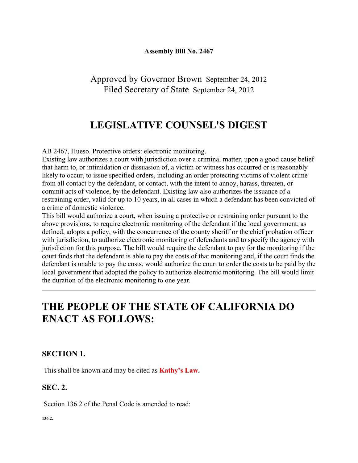#### **Assembly Bill No. 2467**

Approved by Governor Brown September 24, 2012 Filed Secretary of State September 24, 2012

## **LEGISLATIVE COUNSEL'S DIGEST**

AB 2467, Hueso. Protective orders: electronic monitoring.

Existing law authorizes a court with jurisdiction over a criminal matter, upon a good cause belief that harm to, or intimidation or dissuasion of, a victim or witness has occurred or is reasonably likely to occur, to issue specified orders, including an order protecting victims of violent crime from all contact by the defendant, or contact, with the intent to annoy, harass, threaten, or commit acts of violence, by the defendant. Existing law also authorizes the issuance of a restraining order, valid for up to 10 years, in all cases in which a defendant has been convicted of a crime of domestic violence.

This bill would authorize a court, when issuing a protective or restraining order pursuant to the above provisions, to require electronic monitoring of the defendant if the local government, as defined, adopts a policy, with the concurrence of the county sheriff or the chief probation officer with jurisdiction, to authorize electronic monitoring of defendants and to specify the agency with jurisdiction for this purpose. The bill would require the defendant to pay for the monitoring if the court finds that the defendant is able to pay the costs of that monitoring and, if the court finds the defendant is unable to pay the costs, would authorize the court to order the costs to be paid by the local government that adopted the policy to authorize electronic monitoring. The bill would limit the duration of the electronic monitoring to one year.

# **THE PEOPLE OF THE STATE OF CALIFORNIA DO ENACT AS FOLLOWS:**

### **SECTION 1.**

This shall be known and may be cited as **Kathy's Law.**

### **SEC. 2.**

Section 136.2 of the Penal Code is amended to read:

**136.2.**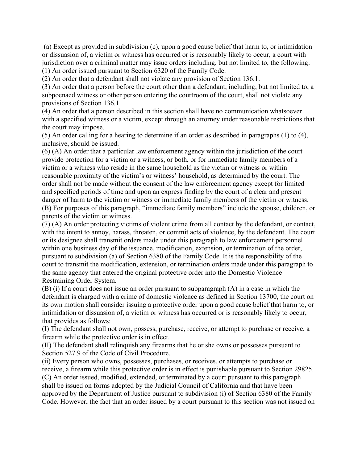(a) Except as provided in subdivision (c), upon a good cause belief that harm to, or intimidation or dissuasion of, a victim or witness has occurred or is reasonably likely to occur, a court with jurisdiction over a criminal matter may issue orders including, but not limited to, the following: (1) An order issued pursuant to Section 6320 of the Family Code.

(2) An order that a defendant shall not violate any provision of Section 136.1.

(3) An order that a person before the court other than a defendant, including, but not limited to, a subpoenaed witness or other person entering the courtroom of the court, shall not violate any provisions of Section 136.1.

(4) An order that a person described in this section shall have no communication whatsoever with a specified witness or a victim, except through an attorney under reasonable restrictions that the court may impose.

(5) An order calling for a hearing to determine if an order as described in paragraphs (1) to (4), inclusive, should be issued.

(6) (A) An order that a particular law enforcement agency within the jurisdiction of the court provide protection for a victim or a witness, or both, or for immediate family members of a victim or a witness who reside in the same household as the victim or witness or within reasonable proximity of the victim's or witness' household, as determined by the court. The order shall not be made without the consent of the law enforcement agency except for limited and specified periods of time and upon an express finding by the court of a clear and present danger of harm to the victim or witness or immediate family members of the victim or witness. (B) For purposes of this paragraph, "immediate family members" include the spouse, children, or parents of the victim or witness.

(7) (A) An order protecting victims of violent crime from all contact by the defendant, or contact, with the intent to annoy, harass, threaten, or commit acts of violence, by the defendant. The court or its designee shall transmit orders made under this paragraph to law enforcement personnel within one business day of the issuance, modification, extension, or termination of the order, pursuant to subdivision (a) of Section 6380 of the Family Code. It is the responsibility of the court to transmit the modification, extension, or termination orders made under this paragraph to the same agency that entered the original protective order into the Domestic Violence Restraining Order System.

(B) (i) If a court does not issue an order pursuant to subparagraph (A) in a case in which the defendant is charged with a crime of domestic violence as defined in Section 13700, the court on its own motion shall consider issuing a protective order upon a good cause belief that harm to, or intimidation or dissuasion of, a victim or witness has occurred or is reasonably likely to occur, that provides as follows:

(I) The defendant shall not own, possess, purchase, receive, or attempt to purchase or receive, a firearm while the protective order is in effect.

(II) The defendant shall relinquish any firearms that he or she owns or possesses pursuant to Section 527.9 of the Code of Civil Procedure.

(ii) Every person who owns, possesses, purchases, or receives, or attempts to purchase or receive, a firearm while this protective order is in effect is punishable pursuant to Section 29825. (C) An order issued, modified, extended, or terminated by a court pursuant to this paragraph shall be issued on forms adopted by the Judicial Council of California and that have been approved by the Department of Justice pursuant to subdivision (i) of Section 6380 of the Family Code. However, the fact that an order issued by a court pursuant to this section was not issued on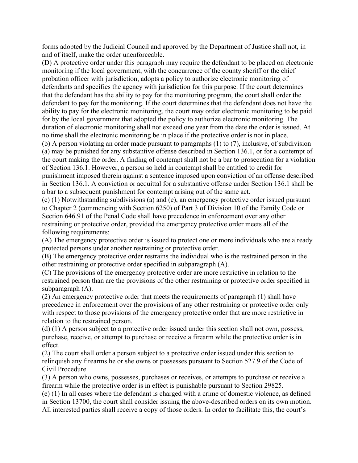forms adopted by the Judicial Council and approved by the Department of Justice shall not, in and of itself, make the order unenforceable.

(D) A protective order under this paragraph may require the defendant to be placed on electronic monitoring if the local government, with the concurrence of the county sheriff or the chief probation officer with jurisdiction, adopts a policy to authorize electronic monitoring of defendants and specifies the agency with jurisdiction for this purpose. If the court determines that the defendant has the ability to pay for the monitoring program, the court shall order the defendant to pay for the monitoring. If the court determines that the defendant does not have the ability to pay for the electronic monitoring, the court may order electronic monitoring to be paid for by the local government that adopted the policy to authorize electronic monitoring. The duration of electronic monitoring shall not exceed one year from the date the order is issued. At no time shall the electronic monitoring be in place if the protective order is not in place.

(b) A person violating an order made pursuant to paragraphs (1) to (7), inclusive, of subdivision (a) may be punished for any substantive offense described in Section 136.1, or for a contempt of the court making the order. A finding of contempt shall not be a bar to prosecution for a violation of Section 136.1. However, a person so held in contempt shall be entitled to credit for punishment imposed therein against a sentence imposed upon conviction of an offense described in Section 136.1. A conviction or acquittal for a substantive offense under Section 136.1 shall be a bar to a subsequent punishment for contempt arising out of the same act.

(c) (1) Notwithstanding subdivisions (a) and (e), an emergency protective order issued pursuant to Chapter 2 (commencing with Section 6250) of Part 3 of Division 10 of the Family Code or Section 646.91 of the Penal Code shall have precedence in enforcement over any other restraining or protective order, provided the emergency protective order meets all of the following requirements:

(A) The emergency protective order is issued to protect one or more individuals who are already protected persons under another restraining or protective order.

(B) The emergency protective order restrains the individual who is the restrained person in the other restraining or protective order specified in subparagraph (A).

(C) The provisions of the emergency protective order are more restrictive in relation to the restrained person than are the provisions of the other restraining or protective order specified in subparagraph (A).

(2) An emergency protective order that meets the requirements of paragraph (1) shall have precedence in enforcement over the provisions of any other restraining or protective order only with respect to those provisions of the emergency protective order that are more restrictive in relation to the restrained person.

(d) (1) A person subject to a protective order issued under this section shall not own, possess, purchase, receive, or attempt to purchase or receive a firearm while the protective order is in effect.

(2) The court shall order a person subject to a protective order issued under this section to relinquish any firearms he or she owns or possesses pursuant to Section 527.9 of the Code of Civil Procedure.

(3) A person who owns, possesses, purchases or receives, or attempts to purchase or receive a firearm while the protective order is in effect is punishable pursuant to Section 29825.

(e) (1) In all cases where the defendant is charged with a crime of domestic violence, as defined in Section 13700, the court shall consider issuing the above-described orders on its own motion. All interested parties shall receive a copy of those orders. In order to facilitate this, the court's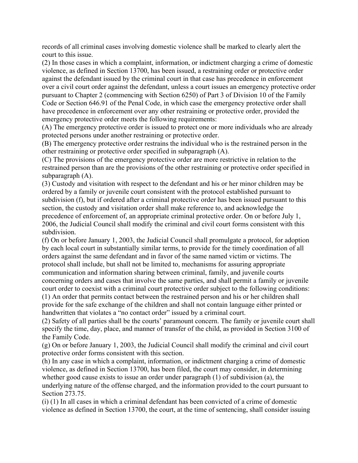records of all criminal cases involving domestic violence shall be marked to clearly alert the court to this issue.

(2) In those cases in which a complaint, information, or indictment charging a crime of domestic violence, as defined in Section 13700, has been issued, a restraining order or protective order against the defendant issued by the criminal court in that case has precedence in enforcement over a civil court order against the defendant, unless a court issues an emergency protective order pursuant to Chapter 2 (commencing with Section 6250) of Part 3 of Division 10 of the Family Code or Section 646.91 of the Penal Code, in which case the emergency protective order shall have precedence in enforcement over any other restraining or protective order, provided the emergency protective order meets the following requirements:

(A) The emergency protective order is issued to protect one or more individuals who are already protected persons under another restraining or protective order.

(B) The emergency protective order restrains the individual who is the restrained person in the other restraining or protective order specified in subparagraph (A).

(C) The provisions of the emergency protective order are more restrictive in relation to the restrained person than are the provisions of the other restraining or protective order specified in subparagraph (A).

(3) Custody and visitation with respect to the defendant and his or her minor children may be ordered by a family or juvenile court consistent with the protocol established pursuant to subdivision (f), but if ordered after a criminal protective order has been issued pursuant to this section, the custody and visitation order shall make reference to, and acknowledge the precedence of enforcement of, an appropriate criminal protective order. On or before July 1, 2006, the Judicial Council shall modify the criminal and civil court forms consistent with this subdivision.

(f) On or before January 1, 2003, the Judicial Council shall promulgate a protocol, for adoption by each local court in substantially similar terms, to provide for the timely coordination of all orders against the same defendant and in favor of the same named victim or victims. The protocol shall include, but shall not be limited to, mechanisms for assuring appropriate communication and information sharing between criminal, family, and juvenile courts concerning orders and cases that involve the same parties, and shall permit a family or juvenile court order to coexist with a criminal court protective order subject to the following conditions: (1) An order that permits contact between the restrained person and his or her children shall provide for the safe exchange of the children and shall not contain language either printed or handwritten that violates a "no contact order" issued by a criminal court.

(2) Safety of all parties shall be the courts' paramount concern. The family or juvenile court shall specify the time, day, place, and manner of transfer of the child, as provided in Section 3100 of the Family Code.

(g) On or before January 1, 2003, the Judicial Council shall modify the criminal and civil court protective order forms consistent with this section.

(h) In any case in which a complaint, information, or indictment charging a crime of domestic violence, as defined in Section 13700, has been filed, the court may consider, in determining whether good cause exists to issue an order under paragraph (1) of subdivision (a), the underlying nature of the offense charged, and the information provided to the court pursuant to Section 273.75.

(i) (1) In all cases in which a criminal defendant has been convicted of a crime of domestic violence as defined in Section 13700, the court, at the time of sentencing, shall consider issuing